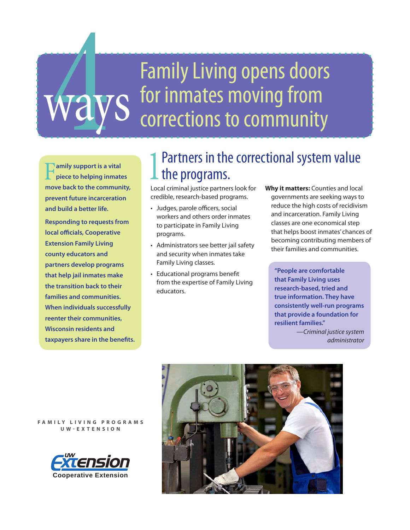## Family Living opens doors for inmates moving from corrections to community ways

**Iamily support is a vital piece to helping inmates move back to the community, prevent future incarceration and build a better life.**

**Responding to requests from local officials, Cooperative Extension Family Living county educators and partners develop programs that help jail inmates make the transition back to their families and communities. When individuals successfully reenter their communities, Wisconsin residents and taxpayers share in the benefits.**

### Partners in the correctional system value the programs.

Local criminal justice partners look for credible, research-based programs.

- • Judges, parole officers, social workers and others order inmates to participate in Family Living programs.
- Administrators see better jail safety and security when inmates take Family Living classes.
- Educational programs benefit from the expertise of Family Living educators.
- **Why it matters:** Counties and local governments are seeking ways to reduce the high costs of recidivism and incarceration. Family Living classes are one economical step that helps boost inmates' chances of becoming contributing members of their families and communities.

**"People are comfortable that Family Living uses research-based, tried and true information. They have consistently well-run programs that provide a foundation for resilient families."**

> *—Criminal justice system administrator*

**FAMILY LIVING PROGRAMS UW-EXTENSION**



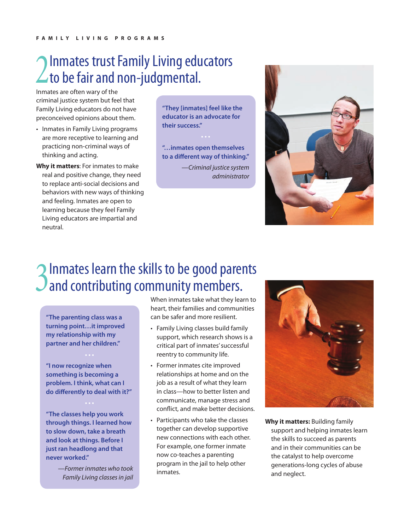### **7** Inmates trust Family Living educators  $\angle$  to be fair and non-judgmental.

Inmates are often wary of the criminal justice system but feel that Family Living educators do not have preconceived opinions about them.

- • Inmates in Family Living programs are more receptive to learning and practicing non-criminal ways of thinking and acting.
- **Why it matters**: For inmates to make real and positive change, they need to replace anti-social decisions and behaviors with new ways of thinking and feeling. Inmates are open to learning because they feel Family Living educators are impartial and neutral.

**"They [inmates] feel like the educator is an advocate for their success."**

**"…inmates open themselves to a different way of thinking."** *—Criminal justice system administrator*



# 3 Inmates learn the skills to be good parents<br>3 and contributing community members.

**"The parenting class was a turning point…it improved my relationship with my partner and her children."**

**"I now recognize when something is becoming a problem. I think, what can I do differently to deal with it?"**

**"The classes help you work through things. I learned how to slow down, take a breath and look at things. Before I just ran headlong and that never worked."**

> *—Former inmates who took Family Living classes in jail*

When inmates take what they learn to heart, their families and communities can be safer and more resilient.

- Family Living classes build family support, which research shows is a critical part of inmates' successful reentry to community life.
- Former inmates cite improved relationships at home and on the job as a result of what they learn in class—how to better listen and communicate, manage stress and conflict, and make better decisions.
- • Participants who take the classes together can develop supportive new connections with each other. For example, one former inmate now co-teaches a parenting program in the jail to help other inmates.



**Why it matters:** Building family support and helping inmates learn the skills to succeed as parents and in their communities can be the catalyst to help overcome generations-long cycles of abuse and neglect.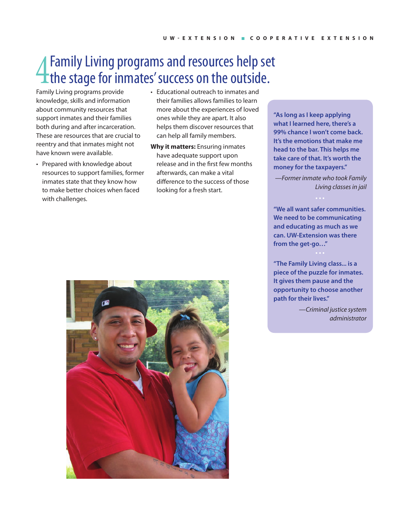### 4Family Living programs and resources help set  $\pm$  the stage for inmates' success on the outside.

Family Living programs provide knowledge, skills and information about community resources that support inmates and their families both during and after incarceration. These are resources that are crucial to reentry and that inmates might not have known were available.

- Prepared with knowledge about resources to support families, former inmates state that they know how to make better choices when faced with challenges.
- • Educational outreach to inmates and their families allows families to learn more about the experiences of loved ones while they are apart. It also helps them discover resources that can help all family members.
- **Why it matters:** Ensuring inmates have adequate support upon release and in the first few months afterwards, can make a vital difference to the success of those looking for a fresh start.

**"As long as I keep applying what I learned here, there's a 99% chance I won't come back. It's the emotions that make me head to the bar. This helps me take care of that. It's worth the money for the taxpayers."**

*—Former inmate who took Family Living classes in jail*

**"We all want safer communities. We need to be communicating and educating as much as we can. UW-Extension was there from the get-go…"**

**"The Family Living class... is a piece of the puzzle for inmates. It gives them pause and the opportunity to choose another path for their lives."**

> *—Criminal justice system administrator*